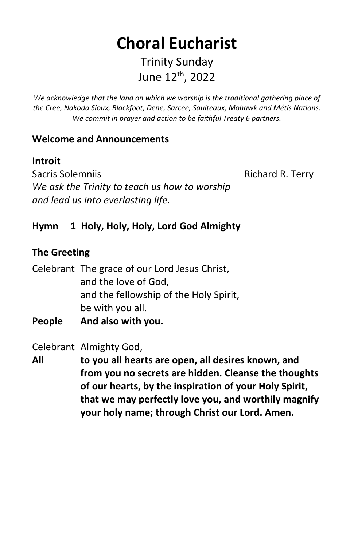# **Choral Eucharist**

Trinity Sunday June 12th , 2022

*We acknowledge that the land on which we worship is the traditional gathering place of the Cree, Nakoda Sioux, Blackfoot, Dene, Sarcee, Saulteaux, Mohawk and Métis Nations. We commit in prayer and action to be faithful Treaty 6 partners.*

## **Welcome and Announcements**

## **Introit**

Sacris Solemniis **Richard R. Terry** *We ask the Trinity to teach us how to worship and lead us into everlasting life.*

## **Hymn 1 Holy, Holy, Holy, Lord God Almighty**

## **The Greeting**

| People | And also with you.                            |
|--------|-----------------------------------------------|
|        | be with you all.                              |
|        | and the fellowship of the Holy Spirit,        |
|        | and the love of God,                          |
|        | Celebrant The grace of our Lord Jesus Christ, |

Celebrant Almighty God,

**All to you all hearts are open, all desires known, and from you no secrets are hidden. Cleanse the thoughts of our hearts, by the inspiration of your Holy Spirit, that we may perfectly love you, and worthily magnify your holy name; through Christ our Lord. Amen.**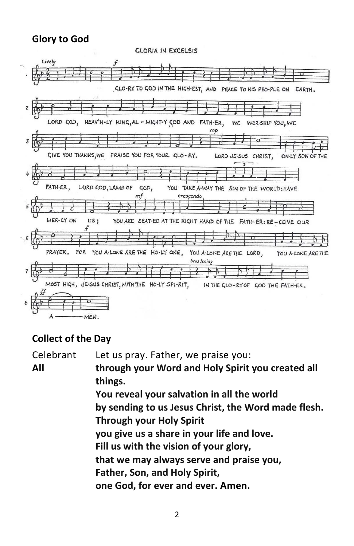## **Glory to God**



## **Collect of the Day**

Celebrant Let us pray. Father, we praise you: **All through your Word and Holy Spirit you created all things. You reveal your salvation in all the world by sending to us Jesus Christ, the Word made flesh. Through your Holy Spirit you give us a share in your life and love. Fill us with the vision of your glory, that we may always serve and praise you, Father, Son, and Holy Spirit, one God, for ever and ever. Amen.**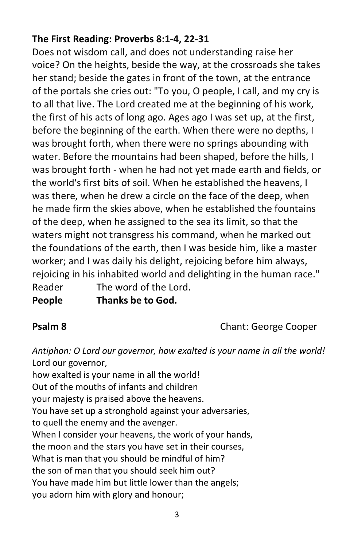## **The First Reading: Proverbs 8:1-4, 22-31**

Does not wisdom call, and does not understanding raise her voice? On the heights, beside the way, at the crossroads she takes her stand; beside the gates in front of the town, at the entrance of the portals she cries out: "To you, O people, I call, and my cry is to all that live. The Lord created me at the beginning of his work, the first of his acts of long ago. Ages ago I was set up, at the first, before the beginning of the earth. When there were no depths, I was brought forth, when there were no springs abounding with water. Before the mountains had been shaped, before the hills, I was brought forth - when he had not yet made earth and fields, or the world's first bits of soil. When he established the heavens, I was there, when he drew a circle on the face of the deep, when he made firm the skies above, when he established the fountains of the deep, when he assigned to the sea its limit, so that the waters might not transgress his command, when he marked out the foundations of the earth, then I was beside him, like a master worker; and I was daily his delight, rejoicing before him always, rejoicing in his inhabited world and delighting in the human race." Reader The word of the Lord.

## **People Thanks be to God.**

**Psalm 8** Chant: George Cooper

*Antiphon: O Lord our governor, how exalted is your name in all the world!*  Lord our governor, how exalted is your name in all the world!

Out of the mouths of infants and children

your majesty is praised above the heavens.

You have set up a stronghold against your adversaries,

to quell the enemy and the avenger.

When I consider your heavens, the work of your hands,

the moon and the stars you have set in their courses,

What is man that you should be mindful of him?

the son of man that you should seek him out?

You have made him but little lower than the angels;

you adorn him with glory and honour;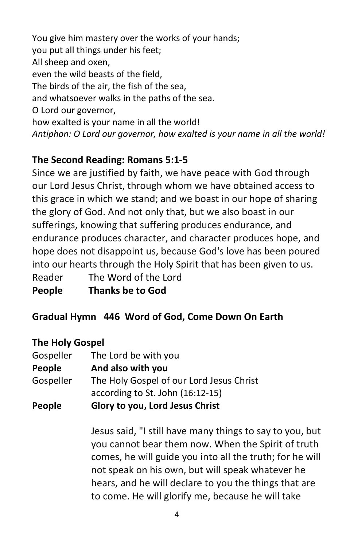You give him mastery over the works of your hands; you put all things under his feet; All sheep and oxen, even the wild beasts of the field, The birds of the air, the fish of the sea, and whatsoever walks in the paths of the sea. O Lord our governor, how exalted is your name in all the world! *Antiphon: O Lord our governor, how exalted is your name in all the world!* 

## **The Second Reading: Romans 5:1-5**

Since we are justified by faith, we have peace with God through our Lord Jesus Christ, through whom we have obtained access to this grace in which we stand; and we boast in our hope of sharing the glory of God. And not only that, but we also boast in our sufferings, knowing that suffering produces endurance, and endurance produces character, and character produces hope, and hope does not disappoint us, because God's love has been poured into our hearts through the Holy Spirit that has been given to us. Reader The Word of the Lord **People Thanks be to God**

## **Gradual Hymn 446 Word of God, Come Down On Earth**

## **The Holy Gospel**

| Gospeller | The Lord be with you                     |
|-----------|------------------------------------------|
| People    | And also with you                        |
| Gospeller | The Holy Gospel of our Lord Jesus Christ |
|           | according to St. John (16:12-15)         |
| People    | Glory to you, Lord Jesus Christ          |

Jesus said, "I still have many things to say to you, but you cannot bear them now. When the Spirit of truth comes, he will guide you into all the truth; for he will not speak on his own, but will speak whatever he hears, and he will declare to you the things that are to come. He will glorify me, because he will take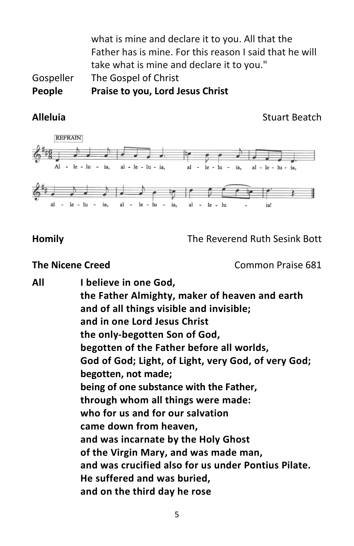| People    | Praise to you, Lord Jesus Christ                        |
|-----------|---------------------------------------------------------|
| Gospeller | The Gospel of Christ                                    |
|           | take what is mine and declare it to you."               |
|           | Father has is mine. For this reason I said that he will |
|           | what is mine and declare it to you. All that the        |

**Alleluia** Stuart Beatch



**Homily** The Reverend Ruth Sesink Bott

**The Nicene Creed** Common Praise 681

**All I believe in one God, the Father Almighty, maker of heaven and earth and of all things visible and invisible; and in one Lord Jesus Christ the only-begotten Son of God, begotten of the Father before all worlds, God of God; Light, of Light, very God, of very God; begotten, not made; being of one substance with the Father, through whom all things were made: who for us and for our salvation came down from heaven, and was incarnate by the Holy Ghost of the Virgin Mary, and was made man, and was crucified also for us under Pontius Pilate. He suffered and was buried, and on the third day he rose**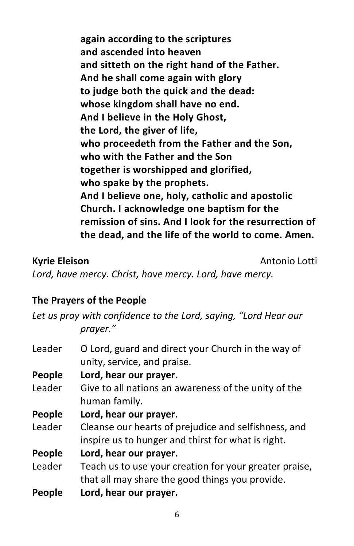**again according to the scriptures and ascended into heaven and sitteth on the right hand of the Father. And he shall come again with glory to judge both the quick and the dead: whose kingdom shall have no end. And I believe in the Holy Ghost, the Lord, the giver of life, who proceedeth from the Father and the Son, who with the Father and the Son together is worshipped and glorified, who spake by the prophets. And I believe one, holy, catholic and apostolic Church. I acknowledge one baptism for the remission of sins. And I look for the resurrection of the dead, and the life of the world to come. Amen.**

**Kyrie Eleison Antonio Lotti Antonio Lotti** 

*Lord, have mercy. Christ, have mercy. Lord, have mercy.*

## **The Prayers of the People**

|               | Let us pray with confidence to the Lord, saying, "Lord Hear our<br>prayer."                                |
|---------------|------------------------------------------------------------------------------------------------------------|
| Leader        | O Lord, guard and direct your Church in the way of<br>unity, service, and praise.                          |
| People        | Lord, hear our prayer.                                                                                     |
| Leader        | Give to all nations an awareness of the unity of the<br>human family.                                      |
| People        | Lord, hear our prayer.                                                                                     |
| Leader        | Cleanse our hearts of prejudice and selfishness, and<br>inspire us to hunger and thirst for what is right. |
| People        | Lord, hear our prayer.                                                                                     |
| Leader        | Teach us to use your creation for your greater praise,                                                     |
|               | that all may share the good things you provide.                                                            |
| <b>People</b> | Lord, hear our prayer.                                                                                     |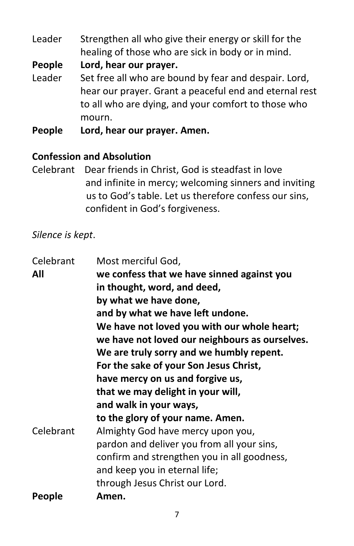Leader Strengthen all who give their energy or skill for the healing of those who are sick in body or in mind.

**People Lord, hear our prayer.** 

Leader Set free all who are bound by fear and despair. Lord, hear our prayer. Grant a peaceful end and eternal rest to all who are dying, and your comfort to those who mourn.

**People Lord, hear our prayer. Amen.**

## **Confession and Absolution**

Celebrant Dear friends in Christ, God is steadfast in love and infinite in mercy; welcoming sinners and inviting us to God's table. Let us therefore confess our sins, confident in God's forgiveness.

*Silence is kept*.

| Celebrant | Most merciful God,                             |
|-----------|------------------------------------------------|
| All       | we confess that we have sinned against you     |
|           | in thought, word, and deed,                    |
|           | by what we have done,                          |
|           | and by what we have left undone.               |
|           | We have not loved you with our whole heart;    |
|           | we have not loved our neighbours as ourselves. |
|           | We are truly sorry and we humbly repent.       |
|           | For the sake of your Son Jesus Christ,         |
|           | have mercy on us and forgive us,               |
|           | that we may delight in your will,              |
|           | and walk in your ways,                         |
|           | to the glory of your name. Amen.               |
| Celebrant | Almighty God have mercy upon you,              |
|           | pardon and deliver you from all your sins,     |
|           | confirm and strengthen you in all goodness,    |
|           | and keep you in eternal life;                  |
|           | through Jesus Christ our Lord.                 |
| People    | Amen.                                          |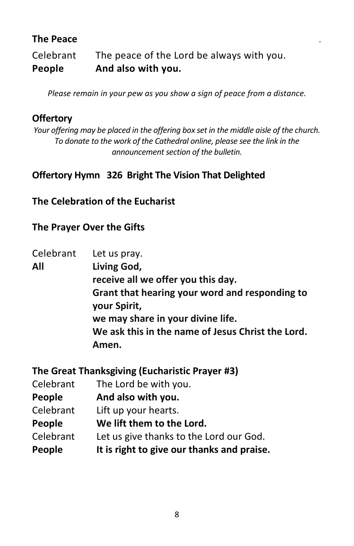## **The Peace** *.*

Celebrant The peace of the Lord be always with you. **People And also with you.** 

*Please remain in your pew as you show a sign of peace from a distance.*

## **Offertory**

*Your offering may be placed in the offering box set in the middle aisle of the church. To donate to the work of the Cathedral online, please see the link in the announcement section of the bulletin.*

## **Offertory Hymn 326 Bright The Vision That Delighted**

## **The Celebration of the Eucharist**

## **The Prayer Over the Gifts**

Celebrant Let us pray.

**All Living God, receive all we offer you this day. Grant that hearing your word and responding to your Spirit, we may share in your divine life. We ask this in the name of Jesus Christ the Lord. Amen.**

## **The Great Thanksgiving (Eucharistic Prayer #3)**  Celebrant The Lord be with you. **People And also with you.** Celebrant Lift up your hearts. **People We lift them to the Lord.** Celebrant Let us give thanks to the Lord our God. **People It is right to give our thanks and praise.**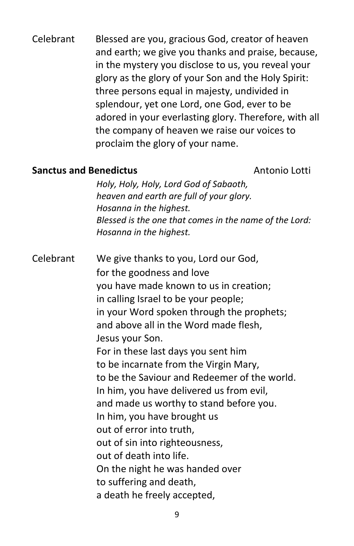Celebrant Blessed are you, gracious God, creator of heaven and earth; we give you thanks and praise, because, in the mystery you disclose to us, you reveal your glory as the glory of your Son and the Holy Spirit: three persons equal in majesty, undivided in splendour, yet one Lord, one God, ever to be adored in your everlasting glory. Therefore, with all the company of heaven we raise our voices to proclaim the glory of your name.

### **Sanctus and Benedictus** Antonio Lotti

*Holy, Holy, Holy, Lord God of Sabaoth, heaven and earth are full of your glory. Hosanna in the highest. Blessed is the one that comes in the name of the Lord: Hosanna in the highest.*

Celebrant We give thanks to you, Lord our God, for the goodness and love you have made known to us in creation; in calling Israel to be your people; in your Word spoken through the prophets; and above all in the Word made flesh, Jesus your Son. For in these last days you sent him to be incarnate from the Virgin Mary, to be the Saviour and Redeemer of the world. In him, you have delivered us from evil, and made us worthy to stand before you. In him, you have brought us out of error into truth, out of sin into righteousness, out of death into life. On the night he was handed over to suffering and death, a death he freely accepted,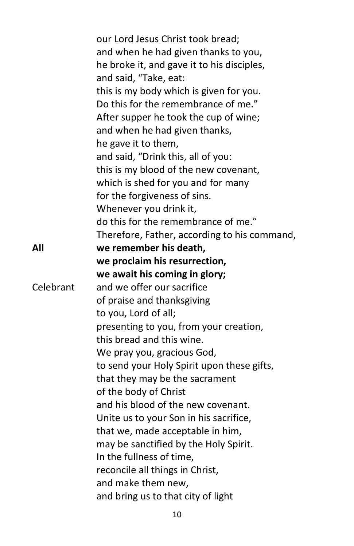|           | our Lord Jesus Christ took bread;            |
|-----------|----------------------------------------------|
|           | and when he had given thanks to you,         |
|           | he broke it, and gave it to his disciples,   |
|           | and said, "Take, eat:                        |
|           | this is my body which is given for you.      |
|           | Do this for the remembrance of me."          |
|           | After supper he took the cup of wine;        |
|           | and when he had given thanks,                |
|           | he gave it to them,                          |
|           | and said, "Drink this, all of you:           |
|           | this is my blood of the new covenant,        |
|           | which is shed for you and for many           |
|           | for the forgiveness of sins.                 |
|           | Whenever you drink it,                       |
|           | do this for the remembrance of me."          |
|           | Therefore, Father, according to his command, |
| All       | we remember his death,                       |
|           | we proclaim his resurrection,                |
|           | we await his coming in glory;                |
| Celebrant | and we offer our sacrifice                   |
|           | of praise and thanksgiving                   |
|           | to you, Lord of all;                         |
|           | presenting to you, from your creation,       |
|           | this bread and this wine.                    |
|           | We pray you, gracious God,                   |
|           | to send your Holy Spirit upon these gifts,   |
|           | that they may be the sacrament               |
|           | of the body of Christ                        |
|           | and his blood of the new covenant.           |
|           | Unite us to your Son in his sacrifice,       |
|           | that we, made acceptable in him              |
|           | may be sanctified by the Holy Spirit.        |
|           | In the fullness of time,                     |
|           |                                              |
|           | reconcile all things in Christ,              |
|           | and make them new,                           |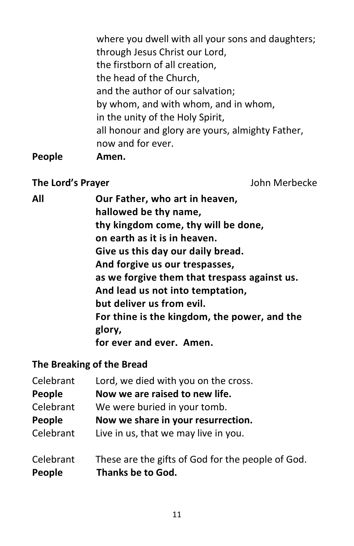|               | where you dwell with all your sons and daughters; |
|---------------|---------------------------------------------------|
|               | through Jesus Christ our Lord,                    |
|               | the firstborn of all creation,                    |
|               | the head of the Church,                           |
|               | and the author of our salvation;                  |
|               | by whom, and with whom, and in whom,              |
|               | in the unity of the Holy Spirit,                  |
|               | all honour and glory are yours, almighty Father,  |
|               | now and for ever.                                 |
| <b>People</b> | Amen.                                             |

## **The Lord's Prayer** John Merbecke

| All | Our Father, who art in heaven,               |
|-----|----------------------------------------------|
|     | hallowed be thy name,                        |
|     | thy kingdom come, thy will be done,          |
|     | on earth as it is in heaven.                 |
|     | Give us this day our daily bread.            |
|     | And forgive us our trespasses,               |
|     | as we forgive them that trespass against us. |
|     | And lead us not into temptation,             |
|     | but deliver us from evil.                    |
|     | For thine is the kingdom, the power, and the |
|     | glory,                                       |
|     | for ever and ever. Amen.                     |
|     |                                              |

## **The Breaking of the Bread**

| Celebrant           | Lord, we died with you on the cross.                                   |
|---------------------|------------------------------------------------------------------------|
| People              | Now we are raised to new life.                                         |
| Celebrant           | We were buried in your tomb.                                           |
| People              | Now we share in your resurrection.                                     |
| Celebrant           | Live in us, that we may live in you.                                   |
| Celebrant<br>People | These are the gifts of God for the people of God.<br>Thanks be to God. |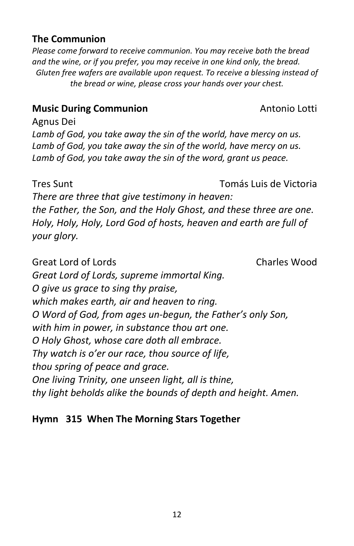# 12

**Music During Communion Antonio Lotti Antonio Lotti** Agnus Dei

*Lamb of God, you take away the sin of the world, have mercy on us. Lamb of God, you take away the sin of the world, have mercy on us. Lamb of God, you take away the sin of the word, grant us peace.*

Tres Sunt Tomás Luis de Victoria *There are three that give testimony in heaven: the Father, the Son, and the Holy Ghost, and these three are one. Holy, Holy, Holy, Lord God of hosts, heaven and earth are full of your glory.*

Great Lord of Lords Charles Wood *Great Lord of Lords, supreme immortal King. O give us grace to sing thy praise, which makes earth, air and heaven to ring. O Word of God, from ages un-begun, the Father's only Son, with him in power, in substance thou art one. O Holy Ghost, whose care doth all embrace. Thy watch is o'er our race, thou source of life, thou spring of peace and grace. One living Trinity, one unseen light, all is thine, thy light beholds alike the bounds of depth and height. Amen.*

## **Hymn 315 When The Morning Stars Together**

## **The Communion**

*Please come forward to receive communion. You may receive both the bread and the wine, or if you prefer, you may receive in one kind only, the bread. Gluten free wafers are available upon request. To receive a blessing instead of the bread or wine, please cross your hands over your chest.*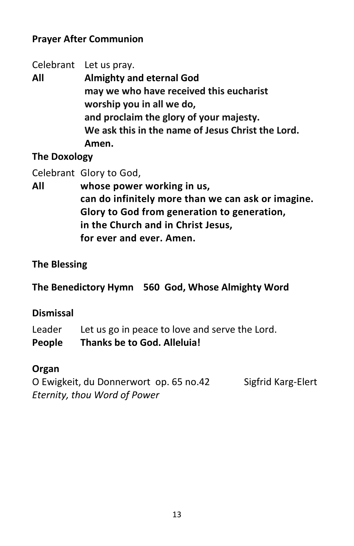## **Prayer After Communion**

Celebrant Let us pray.

**All Almighty and eternal God may we who have received this eucharist worship you in all we do, and proclaim the glory of your majesty. We ask this in the name of Jesus Christ the Lord. Amen.**

## **The Doxology**

Celebrant Glory to God,

**All whose power working in us, can do infinitely more than we can ask or imagine. Glory to God from generation to generation, in the Church and in Christ Jesus, for ever and ever. Amen.**

## **The Blessing**

**The Benedictory Hymn 560 God, Whose Almighty Word**

## **Dismissal**

Leader Let us go in peace to love and serve the Lord. **People Thanks be to God. Alleluia!**

## **Organ**

O Ewigkeit, du Donnerwort op. 65 no.42 Sigfrid Karg-Elert *Eternity, thou Word of Power*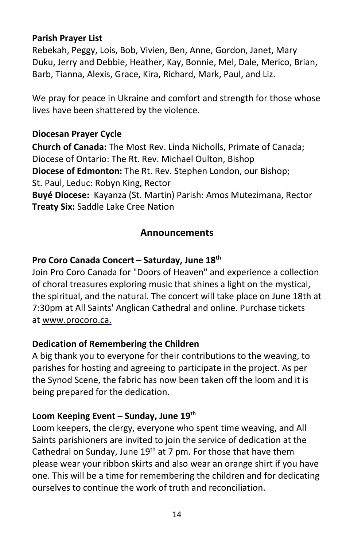## **Parish Prayer List**

Rebekah, Peggy, Lois, Bob, Vivien, Ben, Anne, Gordon, Janet, Mary Duku, Jerry and Debbie, Heather, Kay, Bonnie, Mel, Dale, Merico, Brian, Barb, Tianna, Alexis, Grace, Kira, Richard, Mark, Paul, and Liz.

We pray for peace in Ukraine and comfort and strength for those whose lives have been shattered by the violence.

## **Diocesan Prayer Cycle**

**Church of Canada:** The Most Rev. Linda Nicholls, Primate of Canada; Diocese of Ontario: The Rt. Rev. Michael Oulton, Bishop **Diocese of Edmonton:** The Rt. Rev. Stephen London, our Bishop; St. Paul, Leduc: Robyn King, Rector **Buyé Diocese:** Kayanza (St. Martin) Parish: Amos Mutezimana, Rector **Treaty Six:** Saddle Lake Cree Nation

## **Announcements**

## **Pro Coro Canada Concert – Saturday, June 18th**

Join Pro Coro Canada for "Doors of Heaven" and experience a collection of choral treasures exploring music that shines a light on the mystical, the spiritual, and the natural. The concert will take place on June 18th at 7:30pm at All Saints' Anglican Cathedral and online. Purchase tickets at [www.procoro.ca.](https://urldefense.proofpoint.com/v2/url?u=http-3A__www.procoro.ca_&d=DwMFaQ&c=euGZstcaTDllvimEN8b7jXrwqOf-v5A_CdpgnVfiiMM&r=M2nbrNfOrND9h1xDXR63RPrELo0iewpJsQOfrqxM4iI&m=zS-cwVZbbB6up_uQBH_X36V3GCQ9tsHpA4aM3Y3oxAQ&s=fZEasEK3i5lqtU4hIZxeMcj2DfgZDM6Nii5_CoU_o-4&e=)

### **Dedication of Remembering the Children**

A big thank you to everyone for their contributions to the weaving, to parishes for hosting and agreeing to participate in the project. As per the Synod Scene, the fabric has now been taken off the loom and it is being prepared for the dedication.

## **Loom Keeping Event – Sunday, June 19th**

Loom keepers, the clergy, everyone who spent time weaving, and All Saints parishioners are invited to join the service of dedication at the Cathedral on Sunday, June  $19<sup>th</sup>$  at 7 pm. For those that have them please wear your ribbon skirts and also wear an orange shirt if you have one. This will be a time for remembering the children and for dedicating ourselves to continue the work of truth and reconciliation.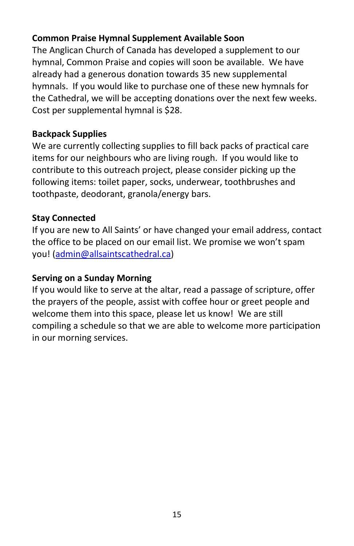## **Common Praise Hymnal Supplement Available Soon**

The Anglican Church of Canada has developed a supplement to our hymnal, Common Praise and copies will soon be available. We have already had a generous donation towards 35 new supplemental hymnals. If you would like to purchase one of these new hymnals for the Cathedral, we will be accepting donations over the next few weeks. Cost per supplemental hymnal is \$28.

## **Backpack Supplies**

We are currently collecting supplies to fill back packs of practical care items for our neighbours who are living rough. If you would like to contribute to this outreach project, please consider picking up the following items: toilet paper, socks, underwear, toothbrushes and toothpaste, deodorant, granola/energy bars.

## **Stay Connected**

If you are new to All Saints' or have changed your email address, contact the office to be placed on our email list. We promise we won't spam you! [\(admin@allsaintscathedral.ca\)](mailto:admin@allsaintscathedral.ca)

## **Serving on a Sunday Morning**

If you would like to serve at the altar, read a passage of scripture, offer the prayers of the people, assist with coffee hour or greet people and welcome them into this space, please let us know! We are still compiling a schedule so that we are able to welcome more participation in our morning services.